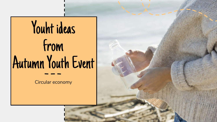

Circular economy

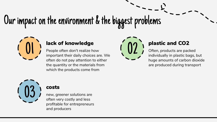# Our impact on the environment & the biggest problems



**ack of knowledge** People often don't realize how **1989 plastic and CO2** plastic and CO2 people often don't realize how often, products are pack individually in plastic bay People often don't realize how important their daily choices are. We often do not pay attention to either the quantity or the materials from which the products come from



Often, products are packed individually in plastic bags, but huge amounts of carbon dioxide are produced during transport



### costs

new, greener solutions are often very costly and less profitable for entrepreneurs and producers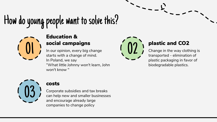## How do young people want to solve this?



### Education &

social campaigns<br>
In our opinion, every big change<br>
starts with a change of mind.<br> **and CO2**<br> **ange in the way cloth**<br>
transported - elimination In our opinion, every big change starts with a change of mind. In Poland, we say "What little Johnny won't learn, John won't know "



Change in the way clothing is transported - elimination of plastic packaging in favor of biodegradable plastics.



### costs

Corporate subsidies and tax breaks can help new and smaller businesses and encourage already large companies to change policy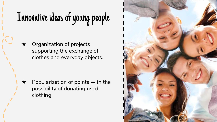## Innovative ideas of young people

★ Organization of projects supporting the exchange of clothes and everyday objects.

 $\bigstar$  Popularization of points with the possibility of donating used clothing